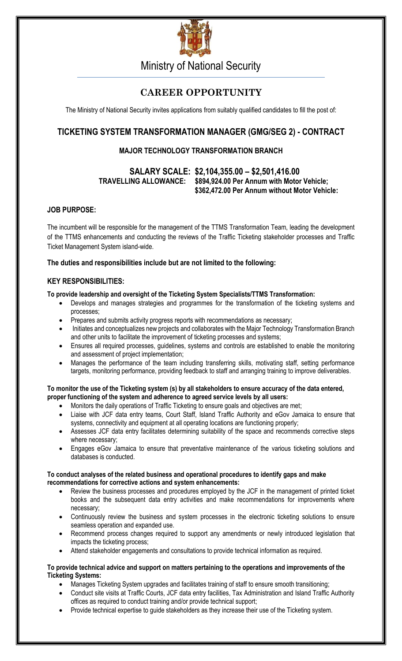

Ministry of National Security

# **CAREER OPPORTUNITY**

The Ministry of National Security invites applications from suitably qualified candidates to fill the post of:

## **TICKETING SYSTEM TRANSFORMATION MANAGER (GMG/SEG 2) - CONTRACT**

### **MAJOR TECHNOLOGY TRANSFORMATION BRANCH**

### **SALARY SCALE: \$2,104,355.00 – \$2,501,416.00 TRAVELLING ALLOWANCE: \$894,924.00 Per Annum with Motor Vehicle; \$362,472.00 Per Annum without Motor Vehicle:**

### **JOB PURPOSE:**

The incumbent will be responsible for the management of the TTMS Transformation Team, leading the development of the TTMS enhancements and conducting the reviews of the Traffic Ticketing stakeholder processes and Traffic Ticket Management System island-wide.

#### **The duties and responsibilities include but are not limited to the following:**

### **KEY RESPONSIBILITIES:**

#### **To provide leadership and oversight of the Ticketing System Specialists/TTMS Transformation:**

- Develops and manages strategies and programmes for the transformation of the ticketing systems and processes;
- Prepares and submits activity progress reports with recommendations as necessary;
- Initiates and conceptualizes new projects and collaborates with the Major Technology Transformation Branch and other units to facilitate the improvement of ticketing processes and systems;
- Ensures all required processes, guidelines, systems and controls are established to enable the monitoring and assessment of project implementation;
- Manages the performance of the team including transferring skills, motivating staff, setting performance targets, monitoring performance, providing feedback to staff and arranging training to improve deliverables.

#### **To monitor the use of the Ticketing system (s) by all stakeholders to ensure accuracy of the data entered, proper functioning of the system and adherence to agreed service levels by all users:**

- Monitors the daily operations of Traffic Ticketing to ensure goals and objectives are met;
- Liaise with JCF data entry teams, Court Staff, Island Traffic Authority and eGov Jamaica to ensure that systems, connectivity and equipment at all operating locations are functioning properly;
- Assesses JCF data entry facilitates determining suitability of the space and recommends corrective steps where necessary;
- Engages eGov Jamaica to ensure that preventative maintenance of the various ticketing solutions and databases is conducted.

#### **To conduct analyses of the related business and operational procedures to identify gaps and make recommendations for corrective actions and system enhancements:**

- Review the business processes and procedures employed by the JCF in the management of printed ticket books and the subsequent data entry activities and make recommendations for improvements where necessary;
- Continuously review the business and system processes in the electronic ticketing solutions to ensure seamless operation and expanded use.
- Recommend process changes required to support any amendments or newly introduced legislation that impacts the ticketing process;
- Attend stakeholder engagements and consultations to provide technical information as required.

#### **To provide technical advice and support on matters pertaining to the operations and improvements of the Ticketing Systems:**

- Manages Ticketing System upgrades and facilitates training of staff to ensure smooth transitioning;
- Conduct site visits at Traffic Courts, JCF data entry facilities, Tax Administration and Island Traffic Authority offices as required to conduct training and/or provide technical support;
- Provide technical expertise to guide stakeholders as they increase their use of the Ticketing system.